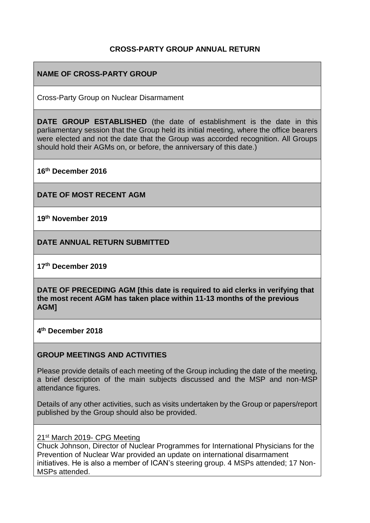### **CROSS-PARTY GROUP ANNUAL RETURN**

## **NAME OF CROSS-PARTY GROUP**

Cross-Party Group on Nuclear Disarmament

**DATE GROUP ESTABLISHED** (the date of establishment is the date in this parliamentary session that the Group held its initial meeting, where the office bearers were elected and not the date that the Group was accorded recognition. All Groups should hold their AGMs on, or before, the anniversary of this date.)

**16th December 2016**

**DATE OF MOST RECENT AGM**

**19th November 2019**

**DATE ANNUAL RETURN SUBMITTED**

**17th December 2019**

**DATE OF PRECEDING AGM [this date is required to aid clerks in verifying that the most recent AGM has taken place within 11-13 months of the previous AGM]**

**4 th December 2018**

#### **GROUP MEETINGS AND ACTIVITIES**

Please provide details of each meeting of the Group including the date of the meeting, a brief description of the main subjects discussed and the MSP and non-MSP attendance figures.

Details of any other activities, such as visits undertaken by the Group or papers/report published by the Group should also be provided.

21<sup>st</sup> March 2019- CPG Meeting

Chuck Johnson, Director of Nuclear Programmes for International Physicians for the Prevention of Nuclear War provided an update on international disarmament initiatives. He is also a member of ICAN's steering group. 4 MSPs attended; 17 Non-MSPs attended.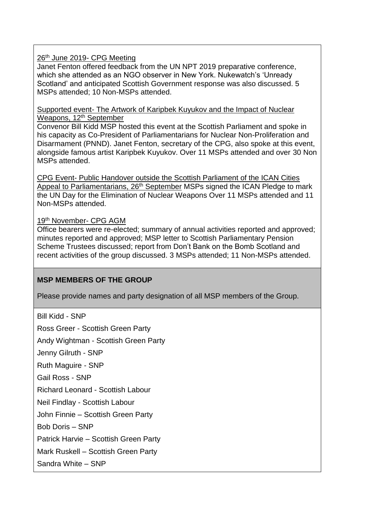#### 26<sup>th</sup> June 2019- CPG Meeting

Janet Fenton offered feedback from the UN NPT 2019 preparative conference, which she attended as an NGO observer in New York. Nukewatch's 'Unready Scotland' and anticipated Scottish Government response was also discussed. 5 MSPs attended; 10 Non-MSPs attended.

Supported event- The Artwork of Karipbek Kuyukov and the Impact of Nuclear Weapons, 12<sup>th</sup> September

Convenor Bill Kidd MSP hosted this event at the Scottish Parliament and spoke in his capacity as Co-President of Parliamentarians for Nuclear Non-Proliferation and Disarmament (PNND). Janet Fenton, secretary of the CPG, also spoke at this event, alongside famous artist Karipbek Kuyukov. Over 11 MSPs attended and over 30 Non MSPs attended.

CPG Event- Public Handover outside the Scottish Parliament of the ICAN Cities Appeal to Parliamentarians, 26<sup>th</sup> September MSPs signed the ICAN Pledge to mark the UN Day for the Elimination of Nuclear Weapons Over 11 MSPs attended and 11 Non-MSPs attended.

#### 19th November- CPG AGM

Office bearers were re-elected; summary of annual activities reported and approved; minutes reported and approved; MSP letter to Scottish Parliamentary Pension Scheme Trustees discussed; report from Don't Bank on the Bomb Scotland and recent activities of the group discussed. 3 MSPs attended; 11 Non-MSPs attended.

### **MSP MEMBERS OF THE GROUP**

Please provide names and party designation of all MSP members of the Group.

Bill Kidd - SNP

Ross Greer - Scottish Green Party

Andy Wightman - Scottish Green Party

Jenny Gilruth - SNP

Ruth Maguire - SNP

Gail Ross - SNP

Richard Leonard - Scottish Labour

Neil Findlay - Scottish Labour

John Finnie – Scottish Green Party

Bob Doris – SNP

Patrick Harvie – Scottish Green Party

Mark Ruskell – Scottish Green Party

Sandra White – SNP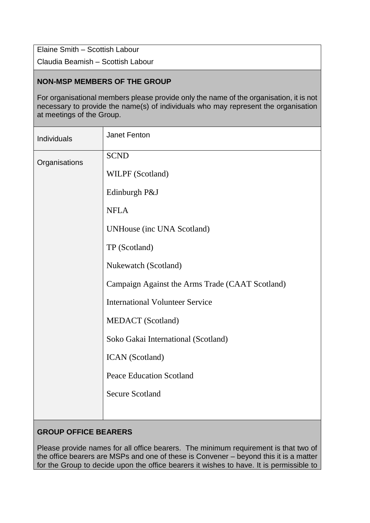Elaine Smith – Scottish Labour

Claudia Beamish – Scottish Labour

## **NON-MSP MEMBERS OF THE GROUP**

For organisational members please provide only the name of the organisation, it is not necessary to provide the name(s) of individuals who may represent the organisation at meetings of the Group.

| Individuals   | Janet Fenton                                    |
|---------------|-------------------------------------------------|
| Organisations | <b>SCND</b>                                     |
|               | WILPF (Scotland)                                |
|               | Edinburgh P&J                                   |
|               | <b>NFLA</b>                                     |
|               | <b>UNHouse (inc UNA Scotland)</b>               |
|               | TP (Scotland)                                   |
|               | Nukewatch (Scotland)                            |
|               | Campaign Against the Arms Trade (CAAT Scotland) |
|               | <b>International Volunteer Service</b>          |
|               | <b>MEDACT</b> (Scotland)                        |
|               | Soko Gakai International (Scotland)             |
|               | <b>ICAN</b> (Scotland)                          |
|               | <b>Peace Education Scotland</b>                 |
|               | <b>Secure Scotland</b>                          |
|               |                                                 |

# **GROUP OFFICE BEARERS**

Please provide names for all office bearers. The minimum requirement is that two of the office bearers are MSPs and one of these is Convener – beyond this it is a matter for the Group to decide upon the office bearers it wishes to have. It is permissible to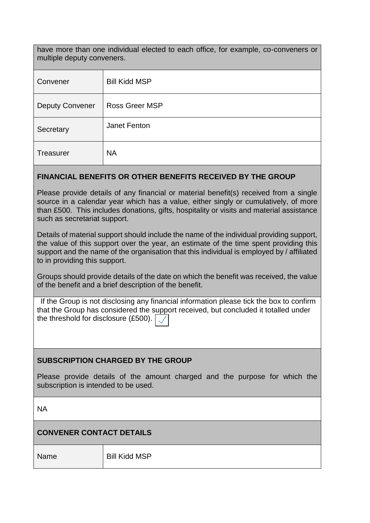have more than one individual elected to each office, for example, co-conveners or multiple deputy conveners.

| Convener               | <b>Bill Kidd MSP</b>  |
|------------------------|-----------------------|
| <b>Deputy Convener</b> | <b>Ross Greer MSP</b> |
| Secretary              | Janet Fenton          |
| Treasurer              | <b>NA</b>             |

#### **FINANCIAL BENEFITS OR OTHER BENEFITS RECEIVED BY THE GROUP**

Please provide details of any financial or material benefit(s) received from a single source in a calendar year which has a value, either singly or cumulatively, of more than £500. This includes donations, gifts, hospitality or visits and material assistance such as secretariat support.

Details of material support should include the name of the individual providing support, the value of this support over the year, an estimate of the time spent providing this support and the name of the organisation that this individual is employed by / affiliated to in providing this support.

Groups should provide details of the date on which the benefit was received, the value of the benefit and a brief description of the benefit.

If the Group is not disclosing any financial information please tick the box to confirm that the Group has considered the support received, but concluded it totalled under the threshold for disclosure (£500).

### **SUBSCRIPTION CHARGED BY THE GROUP**

Please provide details of the amount charged and the purpose for which the subscription is intended to be used.

NA

# **CONVENER CONTACT DETAILS**

Name Bill Kidd MSP